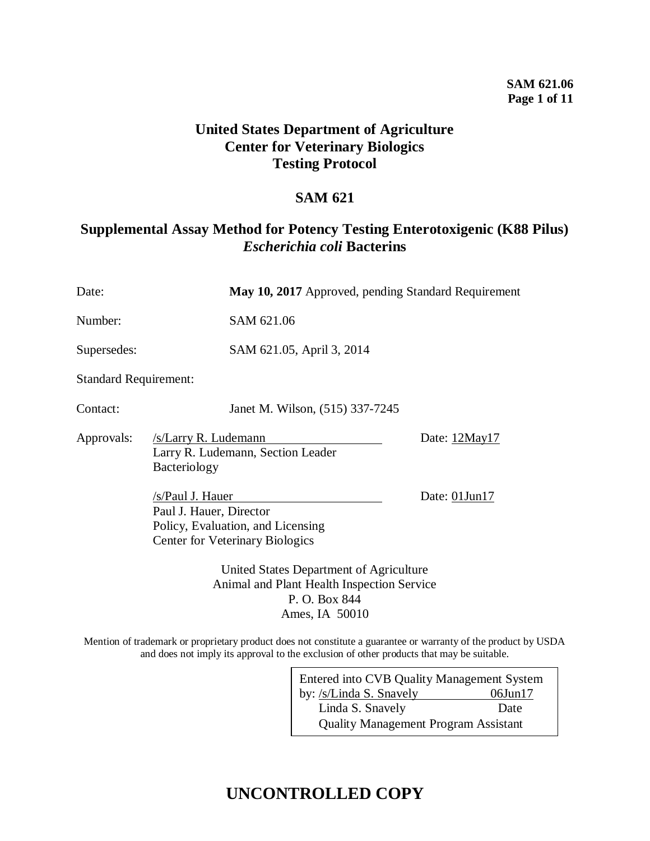### **SAM 621.06 Page 1 of 11**

## **United States Department of Agriculture Center for Veterinary Biologics Testing Protocol**

## **SAM 621**

## **Supplemental Assay Method for Potency Testing Enterotoxigenic (K88 Pilus)** *Escherichia coli* **Bacterins**

| Date:                        |                                                                                                                            | May 10, 2017 Approved, pending Standard Requirement |  |  |
|------------------------------|----------------------------------------------------------------------------------------------------------------------------|-----------------------------------------------------|--|--|
| Number:                      | SAM 621.06                                                                                                                 |                                                     |  |  |
| Supersedes:                  | SAM 621.05, April 3, 2014                                                                                                  |                                                     |  |  |
| <b>Standard Requirement:</b> |                                                                                                                            |                                                     |  |  |
| Contact:                     | Janet M. Wilson, (515) 337-7245                                                                                            |                                                     |  |  |
| Approvals:                   | /s/Larry R. Ludemann<br>Larry R. Ludemann, Section Leader<br>Bacteriology                                                  | Date: 12May17                                       |  |  |
|                              | /s/Paul J. Hauer<br>Paul J. Hauer, Director<br>Policy, Evaluation, and Licensing<br><b>Center for Veterinary Biologics</b> | Date: $01$ Jun $17$                                 |  |  |
|                              | United States Department of Agriculture<br>Animal and Plant Health Inspection Service<br>P. O. Box 844<br>Ames, IA 50010   |                                                     |  |  |

Mention of trademark or proprietary product does not constitute a guarantee or warranty of the product by USDA and does not imply its approval to the exclusion of other products that may be suitable.

| <b>Entered into CVB Quality Management System</b> |               |  |
|---------------------------------------------------|---------------|--|
| by: /s/Linda S. Snavely                           | $06$ Jun $17$ |  |
| Linda S. Snavely                                  | Date          |  |
| <b>Quality Management Program Assistant</b>       |               |  |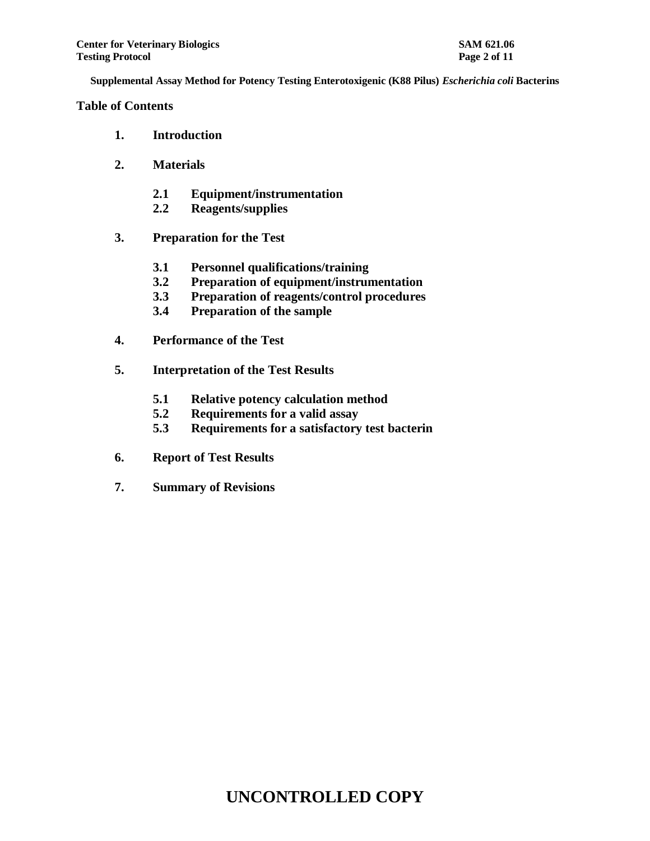**Table of Contents**

- **1. Introduction**
- **2. Materials**
	- **2.1 Equipment/instrumentation**
	- **2.2 Reagents/supplies**
- **3. Preparation for the Test**
	- **3.1 Personnel qualifications/training**
	- **3.2 Preparation of equipment/instrumentation**
	- **3.3 Preparation of reagents/control procedures**
	- **3.4 Preparation of the sample**
- **4. Performance of the Test**
- **5. Interpretation of the Test Results**
	- **5.1 Relative potency calculation method**
	- **5.2 Requirements for a valid assay**
	- **5.3 Requirements for a satisfactory test bacterin**
- **6. Report of Test Results**
- **7. Summary of Revisions**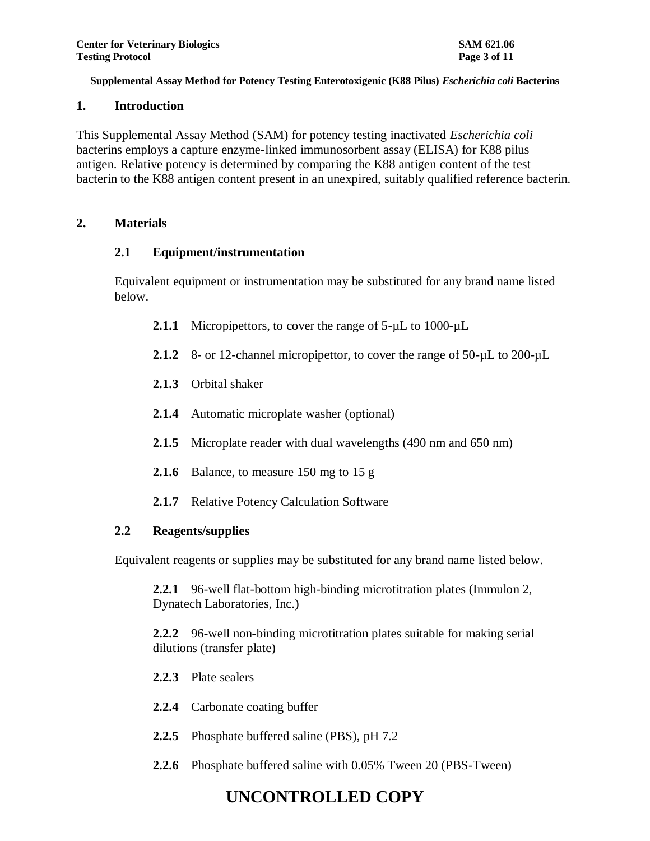### **1. Introduction**

This Supplemental Assay Method (SAM) for potency testing inactivated *Escherichia coli* bacterins employs a capture enzyme-linked immunosorbent assay (ELISA) for K88 pilus antigen. Relative potency is determined by comparing the K88 antigen content of the test bacterin to the K88 antigen content present in an unexpired, suitably qualified reference bacterin.

### **2. Materials**

### **2.1 Equipment/instrumentation**

Equivalent equipment or instrumentation may be substituted for any brand name listed below.

- 2.1.1 Micropipettors, to cover the range of 5- $\mu$ L to 1000- $\mu$ L
- 2.1.2 8- or 12-channel micropipettor, to cover the range of 50- $\mu$ L to 200- $\mu$ L
- **2.1.3** Orbital shaker
- **2.1.4** Automatic microplate washer (optional)
- **2.1.5** Microplate reader with dual wavelengths (490 nm and 650 nm)
- **2.1.6** Balance, to measure 150 mg to 15 g
- **2.1.7** Relative Potency Calculation Software

### **2.2 Reagents/supplies**

Equivalent reagents or supplies may be substituted for any brand name listed below.

**2.2.1** 96-well flat-bottom high-binding microtitration plates (Immulon 2, Dynatech Laboratories, Inc.)

**2.2.2** 96-well non-binding microtitration plates suitable for making serial dilutions (transfer plate)

- **2.2.3** Plate sealers
- **2.2.4** Carbonate coating buffer
- **2.2.5** Phosphate buffered saline (PBS), pH 7.2
- **2.2.6** Phosphate buffered saline with 0.05% Tween 20 (PBS-Tween)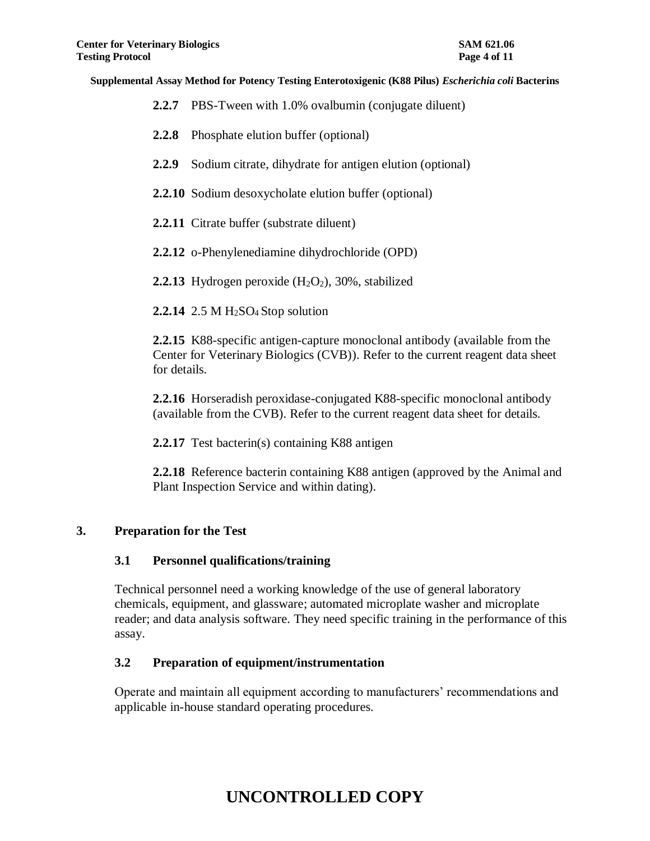- **2.2.7** PBS-Tween with 1.0% ovalbumin (conjugate diluent)
- **2.2.8** Phosphate elution buffer (optional)
- **2.2.9** Sodium citrate, dihydrate for antigen elution (optional)
- **2.2.10** Sodium desoxycholate elution buffer (optional)
- **2.2.11** Citrate buffer (substrate diluent)
- **2.2.12** o-Phenylenediamine dihydrochloride (OPD)
- **2.2.13** Hydrogen peroxide  $(H_2O_2)$ , 30%, stabilized
- **2.2.14** 2.5 M H<sub>2</sub>SO<sub>4</sub> Stop solution

**2.2.15** K88-specific antigen-capture monoclonal antibody (available from the Center for Veterinary Biologics (CVB)). Refer to the current reagent data sheet for details.

**2.2.16** Horseradish peroxidase-conjugated K88-specific monoclonal antibody (available from the CVB). Refer to the current reagent data sheet for details.

**2.2.17** Test bacterin(s) containing K88 antigen

**2.2.18** Reference bacterin containing K88 antigen (approved by the Animal and Plant Inspection Service and within dating).

### **3. Preparation for the Test**

#### **3.1 Personnel qualifications/training**

Technical personnel need a working knowledge of the use of general laboratory chemicals, equipment, and glassware; automated microplate washer and microplate reader; and data analysis software. They need specific training in the performance of this assay.

### **3.2 Preparation of equipment/instrumentation**

Operate and maintain all equipment according to manufacturers' recommendations and applicable in-house standard operating procedures.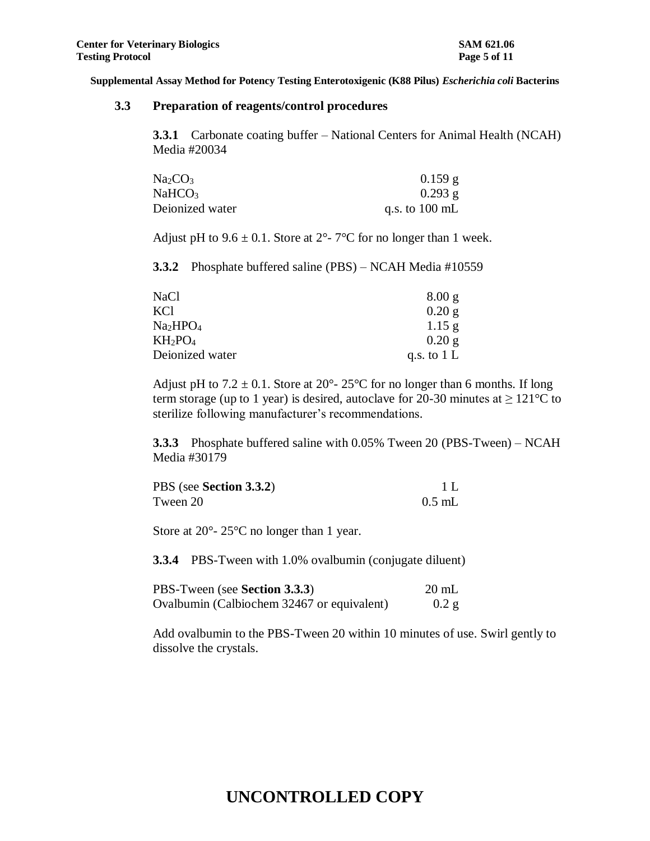#### **3.3 Preparation of reagents/control procedures**

**3.3.1** Carbonate coating buffer – National Centers for Animal Health (NCAH) Media #20034

| Na <sub>2</sub> CO <sub>3</sub> | $0.159$ g                |
|---------------------------------|--------------------------|
| NaHCO <sub>3</sub>              | $0.293$ g                |
| Deionized water                 | q.s. to $100 \text{ mL}$ |

Adjust pH to  $9.6 \pm 0.1$ . Store at  $2^{\circ}$ -  $7^{\circ}$ C for no longer than 1 week.

**3.3.2** Phosphate buffered saline (PBS) – NCAH Media #10559

| NaCl            | 8.00 g        |
|-----------------|---------------|
| KCl             | $0.20$ g      |
| Na2HPO4         | $1.15$ g      |
| $KH_2PO_4$      | $0.20$ g      |
| Deionized water | q.s. to $1 L$ |

Adjust pH to  $7.2 \pm 0.1$ . Store at  $20^{\circ}$ -  $25^{\circ}$ C for no longer than 6 months. If long term storage (up to 1 year) is desired, autoclave for 20-30 minutes at  $\geq 121^{\circ}$ C to sterilize following manufacturer's recommendations.

**3.3.3** Phosphate buffered saline with 0.05% Tween 20 (PBS-Tween) – NCAH Media #30179

| PBS (see Section 3.3.2) |          |
|-------------------------|----------|
| Tween 20                | $0.5$ mL |

Store at 20<sup>o</sup>- 25<sup>o</sup>C no longer than 1 year.

**3.3.4** PBS-Tween with 1.0% ovalbumin (conjugate diluent)

| PBS-Tween (see Section 3.3.3)              | $20 \text{ mL}$ |
|--------------------------------------------|-----------------|
| Ovalbumin (Calbiochem 32467 or equivalent) | $0.2$ g         |

Add ovalbumin to the PBS-Tween 20 within 10 minutes of use. Swirl gently to dissolve the crystals.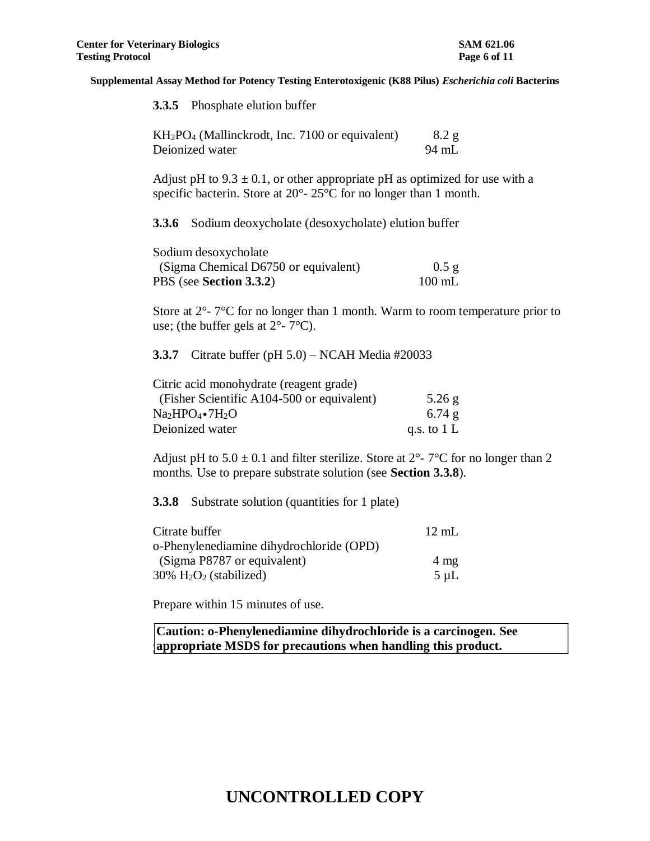| <b>3.3.5</b> Phosphate elution buffer                                                                                                                                     |                     |
|---------------------------------------------------------------------------------------------------------------------------------------------------------------------------|---------------------|
| KH <sub>2</sub> PO <sub>4</sub> (Mallinckrodt, Inc. 7100 or equivalent)<br>Deionized water                                                                                | 8.2 g<br>94 mL      |
| Adjust pH to $9.3 \pm 0.1$ , or other appropriate pH as optimized for use with a<br>specific bacterin. Store at $20^{\circ}$ - $25^{\circ}$ C for no longer than 1 month. |                     |
| <b>3.3.6</b> Sodium deoxycholate (desoxycholate) elution buffer                                                                                                           |                     |
| Sodium desoxycholate<br>(Sigma Chemical D6750 or equivalent)<br>PBS (see Section 3.3.2)                                                                                   | $0.5$ g<br>$100$ mL |
| Store at $2^{\circ}$ - $7^{\circ}$ C for no longer than 1 month. Warm to room temperature prior to<br>use; (the buffer gels at $2^{\circ}$ - $7^{\circ}$ C).              |                     |
| 3.3.7 Citrate buffer (pH $5.0$ ) – NCAH Media #20033                                                                                                                      |                     |
| Citric acid monohydrate (reagent grade)                                                                                                                                   |                     |

| $5.26$ g      |
|---------------|
| 6.74g         |
| q.s. to $1 L$ |
|               |

Adjust pH to  $5.0 \pm 0.1$  and filter sterilize. Store at  $2^{\circ}$ -  $7^{\circ}$ C for no longer than 2 months. Use to prepare substrate solution (see **Section 3.3.8**).

**3.3.8** Substrate solution (quantities for 1 plate)

| Citrate buffer                                    | $12 \text{ mL}$ |
|---------------------------------------------------|-----------------|
| o-Phenylenediamine dihydrochloride (OPD)          |                 |
| (Sigma P8787 or equivalent)                       | $4 \text{ mg}$  |
| $30\%$ H <sub>2</sub> O <sub>2</sub> (stabilized) | $5 \mu L$       |

Prepare within 15 minutes of use.

**3 appropriate MSDS for precautions when handling this product.Caution: o-Phenylenediamine dihydrochloride is a carcinogen. See**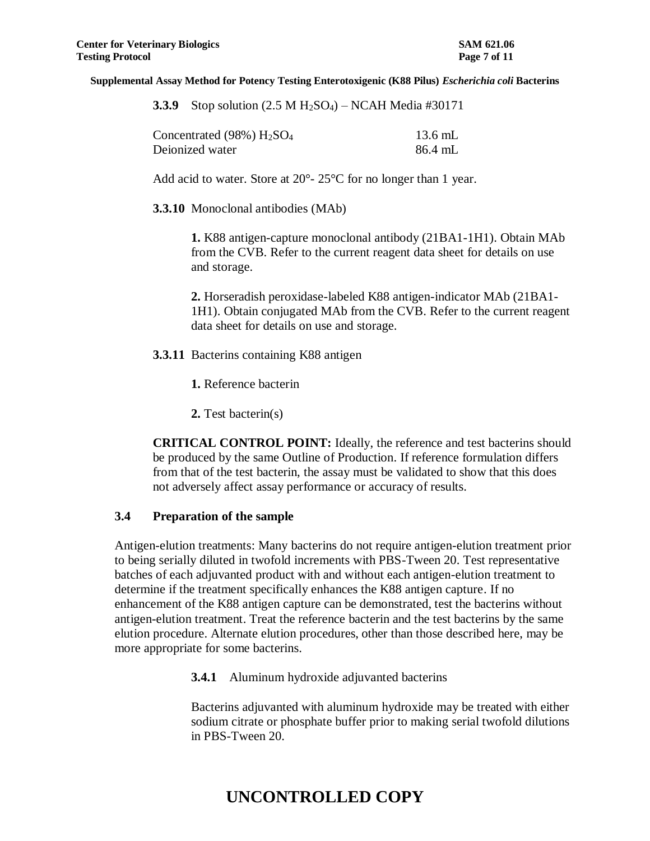|  |  |  | <b>3.3.9</b> Stop solution $(2.5 M H_2SO_4)$ – NCAH Media #30171 |
|--|--|--|------------------------------------------------------------------|
|--|--|--|------------------------------------------------------------------|

| Concentrated $(98\%)$ $H2SO4$ | $13.6$ mL |
|-------------------------------|-----------|
| Deionized water               | 86.4 mL   |

Add acid to water. Store at 20<sup>o</sup>- 25<sup>o</sup>C for no longer than 1 year.

**3.3.10** Monoclonal antibodies (MAb)

**1.** K88 antigen-capture monoclonal antibody (21BA1-1H1). Obtain MAb from the CVB. Refer to the current reagent data sheet for details on use and storage.

**2.** Horseradish peroxidase-labeled K88 antigen-indicator MAb (21BA1- 1H1). Obtain conjugated MAb from the CVB. Refer to the current reagent data sheet for details on use and storage.

**3.3.11** Bacterins containing K88 antigen

**1.** Reference bacterin

**2.** Test bacterin(s)

**CRITICAL CONTROL POINT:** Ideally, the reference and test bacterins should be produced by the same Outline of Production. If reference formulation differs from that of the test bacterin, the assay must be validated to show that this does not adversely affect assay performance or accuracy of results.

#### **3.4 Preparation of the sample**

Antigen-elution treatments: Many bacterins do not require antigen-elution treatment prior to being serially diluted in twofold increments with PBS-Tween 20. Test representative batches of each adjuvanted product with and without each antigen-elution treatment to determine if the treatment specifically enhances the K88 antigen capture. If no enhancement of the K88 antigen capture can be demonstrated, test the bacterins without antigen-elution treatment. Treat the reference bacterin and the test bacterins by the same elution procedure. Alternate elution procedures, other than those described here, may be more appropriate for some bacterins.

**3.4.1** Aluminum hydroxide adjuvanted bacterins

Bacterins adjuvanted with aluminum hydroxide may be treated with either sodium citrate or phosphate buffer prior to making serial twofold dilutions in PBS-Tween 20.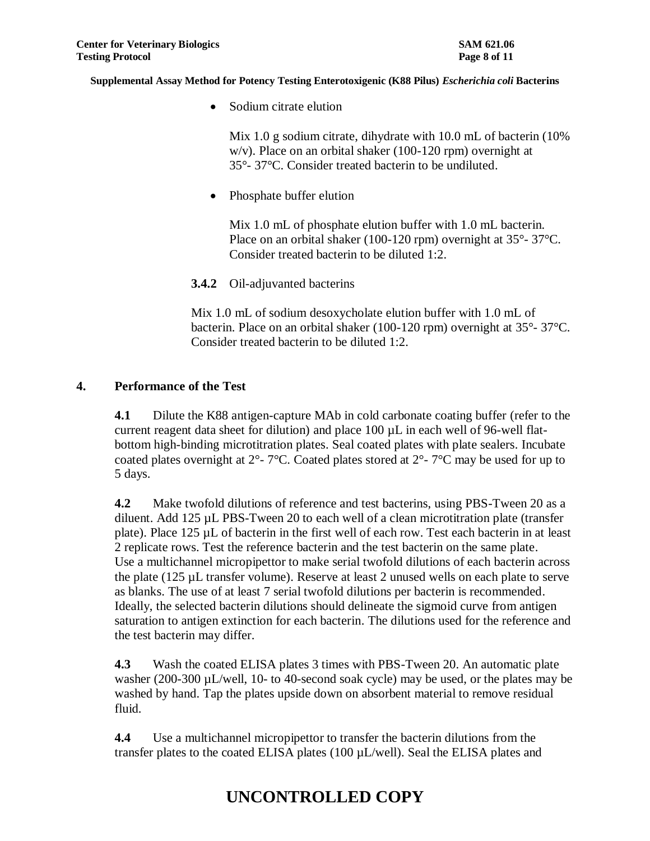• Sodium citrate elution

Mix 1.0 g sodium citrate, dihydrate with 10.0 mL of bacterin (10% w/v). Place on an orbital shaker (100-120 rpm) overnight at 35°- 37°C. Consider treated bacterin to be undiluted.

• Phosphate buffer elution

Mix 1.0 mL of phosphate elution buffer with 1.0 mL bacterin. Place on an orbital shaker (100-120 rpm) overnight at 35°- 37°C. Consider treated bacterin to be diluted 1:2.

**3.4.2** Oil-adjuvanted bacterins

Mix 1.0 mL of sodium desoxycholate elution buffer with 1.0 mL of bacterin. Place on an orbital shaker (100-120 rpm) overnight at 35°- 37°C. Consider treated bacterin to be diluted 1:2.

### **4. Performance of the Test**

**4.1** Dilute the K88 antigen-capture MAb in cold carbonate coating buffer (refer to the current reagent data sheet for dilution) and place  $100 \mu L$  in each well of 96-well flatbottom high-binding microtitration plates. Seal coated plates with plate sealers. Incubate coated plates overnight at  $2^{\circ}$ - 7°C. Coated plates stored at  $2^{\circ}$ - 7°C may be used for up to 5 days.

**4.2** Make twofold dilutions of reference and test bacterins, using PBS-Tween 20 as a diluent. Add 125 µL PBS-Tween 20 to each well of a clean microtitration plate (transfer plate). Place 125 µL of bacterin in the first well of each row. Test each bacterin in at least 2 replicate rows. Test the reference bacterin and the test bacterin on the same plate. Use a multichannel micropipettor to make serial twofold dilutions of each bacterin across the plate (125 µL transfer volume). Reserve at least 2 unused wells on each plate to serve as blanks. The use of at least 7 serial twofold dilutions per bacterin is recommended. Ideally, the selected bacterin dilutions should delineate the sigmoid curve from antigen saturation to antigen extinction for each bacterin. The dilutions used for the reference and the test bacterin may differ.

**4.3** Wash the coated ELISA plates 3 times with PBS-Tween 20. An automatic plate washer (200-300 µL/well, 10- to 40-second soak cycle) may be used, or the plates may be washed by hand. Tap the plates upside down on absorbent material to remove residual fluid.

**4.4** Use a multichannel micropipettor to transfer the bacterin dilutions from the transfer plates to the coated ELISA plates (100 µL/well). Seal the ELISA plates and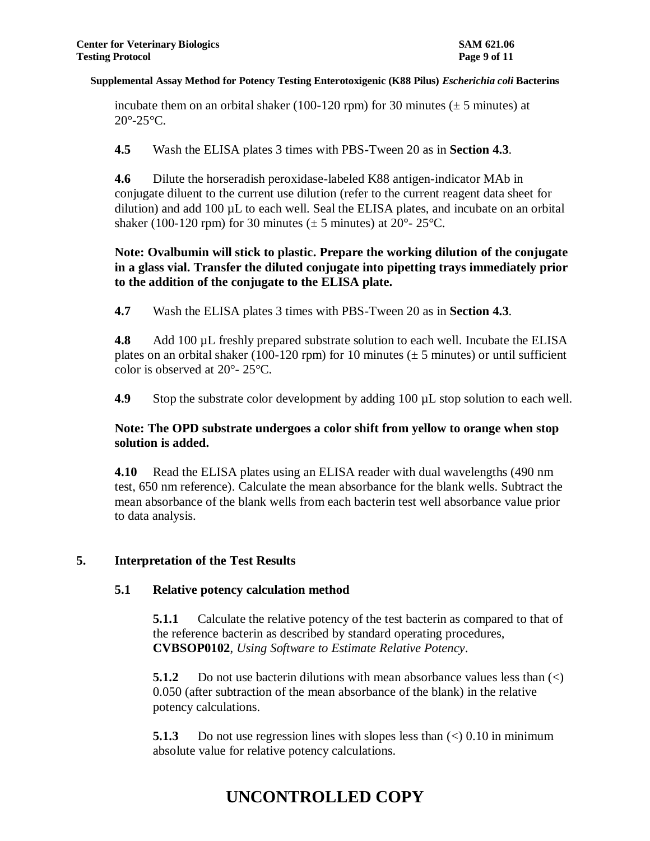incubate them on an orbital shaker (100-120 rpm) for 30 minutes ( $\pm$  5 minutes) at  $20^{\circ}$ -25 $^{\circ}$ C.

**4.5** Wash the ELISA plates 3 times with PBS-Tween 20 as in **Section 4.3**.

**4.6** Dilute the horseradish peroxidase-labeled K88 antigen-indicator MAb in conjugate diluent to the current use dilution (refer to the current reagent data sheet for dilution) and add 100 µL to each well. Seal the ELISA plates, and incubate on an orbital shaker (100-120 rpm) for 30 minutes ( $\pm$  5 minutes) at 20<sup>o</sup>-25<sup>o</sup>C.

### **Note: Ovalbumin will stick to plastic. Prepare the working dilution of the conjugate in a glass vial. Transfer the diluted conjugate into pipetting trays immediately prior to the addition of the conjugate to the ELISA plate.**

**4.7** Wash the ELISA plates 3 times with PBS-Tween 20 as in **Section 4.3**.

**4.8** Add 100 µL freshly prepared substrate solution to each well. Incubate the ELISA plates on an orbital shaker (100-120 rpm) for 10 minutes ( $\pm$  5 minutes) or until sufficient color is observed at 20°- 25°C.

**4.9** Stop the substrate color development by adding 100 µL stop solution to each well.

## **Note: The OPD substrate undergoes a color shift from yellow to orange when stop solution is added.**

**4.10** Read the ELISA plates using an ELISA reader with dual wavelengths (490 nm test, 650 nm reference). Calculate the mean absorbance for the blank wells. Subtract the mean absorbance of the blank wells from each bacterin test well absorbance value prior to data analysis.

## **5. Interpretation of the Test Results**

## **5.1 Relative potency calculation method**

**5.1.1** Calculate the relative potency of the test bacterin as compared to that of the reference bacterin as described by standard operating procedures, **CVBSOP0102**, *Using Software to Estimate Relative Potency*.

**5.1.2** Do not use bacter in dilutions with mean absorbance values less than  $\left(\langle\right\rangle$ 0.050 (after subtraction of the mean absorbance of the blank) in the relative potency calculations.

**5.1.3** Do not use regression lines with slopes less than  $\leq 0.10$  in minimum absolute value for relative potency calculations.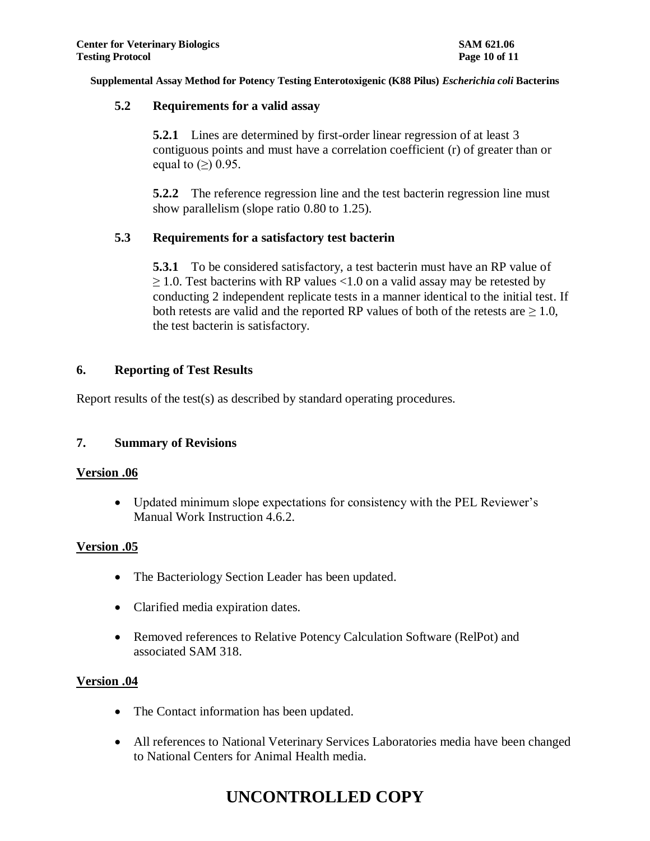### **5.2 Requirements for a valid assay**

**5.2.1** Lines are determined by first-order linear regression of at least 3 contiguous points and must have a correlation coefficient (r) of greater than or equal to  $(\ge)$  0.95.

**5.2.2** The reference regression line and the test bacterin regression line must show parallelism (slope ratio 0.80 to 1.25).

### **5.3 Requirements for a satisfactory test bacterin**

**5.3.1** To be considered satisfactory, a test bacterin must have an RP value of  $\geq$  1.0. Test bacterins with RP values <1.0 on a valid assay may be retested by conducting 2 independent replicate tests in a manner identical to the initial test. If both retests are valid and the reported RP values of both of the retests are  $\geq 1.0$ , the test bacterin is satisfactory.

### **6. Reporting of Test Results**

Report results of the test(s) as described by standard operating procedures.

## **7. Summary of Revisions**

### **Version .06**

 Updated minimum slope expectations for consistency with the PEL Reviewer's Manual Work Instruction 4.6.2.

### **Version .05**

- The Bacteriology Section Leader has been updated.
- Clarified media expiration dates.
- Removed references to Relative Potency Calculation Software (RelPot) and associated SAM 318.

### **Version .04**

- The Contact information has been updated.
- All references to National Veterinary Services Laboratories media have been changed to National Centers for Animal Health media.